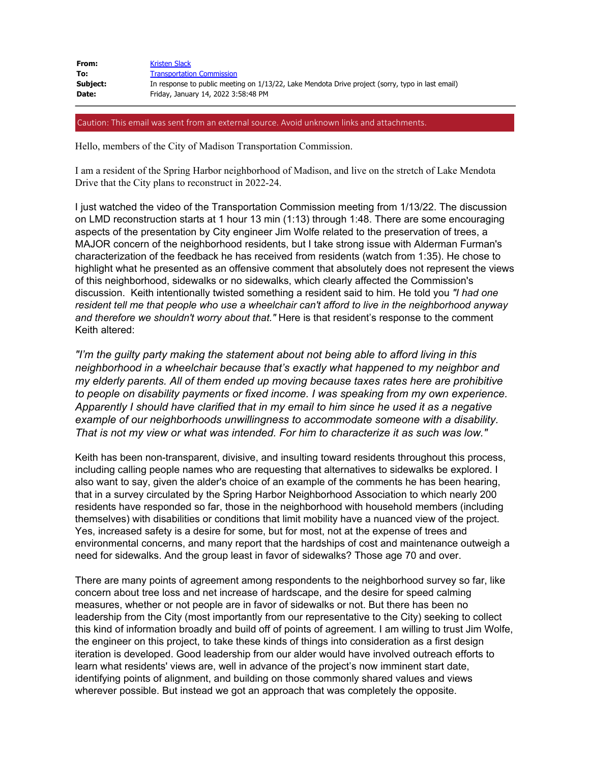| From:    | <b>Kristen Slack</b>                                                                             |
|----------|--------------------------------------------------------------------------------------------------|
| To:      | <b>Transportation Commission</b>                                                                 |
| Subject: | In response to public meeting on 1/13/22, Lake Mendota Drive project (sorry, typo in last email) |
| Date:    | Friday, January 14, 2022 3:58:48 PM                                                              |

Caution: This email was sent from an external source. Avoid unknown links and attachments.

Hello, members of the City of Madison Transportation Commission.

I am a resident of the Spring Harbor neighborhood of Madison, and live on the stretch of Lake Mendota Drive that the City plans to reconstruct in 2022-24.

I just watched the video of the Transportation Commission meeting from 1/13/22. The discussion on LMD reconstruction starts at 1 hour 13 min (1:13) through 1:48. There are some encouraging aspects of the presentation by City engineer Jim Wolfe related to the preservation of trees, a MAJOR concern of the neighborhood residents, but I take strong issue with Alderman Furman's characterization of the feedback he has received from residents (watch from 1:35). He chose to highlight what he presented as an offensive comment that absolutely does not represent the views of this neighborhood, sidewalks or no sidewalks, which clearly affected the Commission's discussion. Keith intentionally twisted something a resident said to him. He told you *"I had one resident tell me that people who use a wheelchair can't afford to live in the neighborhood anyway and therefore we shouldn't worry about that."* Here is that resident's response to the comment Keith altered:

*"I'm the guilty party making the statement about not being able to afford living in this neighborhood in a wheelchair because that's exactly what happened to my neighbor and my elderly parents. All of them ended up moving because taxes rates here are prohibitive to people on disability payments or fixed income. I was speaking from my own experience. Apparently I should have clarified that in my email to him since he used it as a negative example of our neighborhoods unwillingness to accommodate someone with a disability. That is not my view or what was intended. For him to characterize it as such was low."*

Keith has been non-transparent, divisive, and insulting toward residents throughout this process, including calling people names who are requesting that alternatives to sidewalks be explored. I also want to say, given the alder's choice of an example of the comments he has been hearing, that in a survey circulated by the Spring Harbor Neighborhood Association to which nearly 200 residents have responded so far, those in the neighborhood with household members (including themselves) with disabilities or conditions that limit mobility have a nuanced view of the project. Yes, increased safety is a desire for some, but for most, not at the expense of trees and environmental concerns, and many report that the hardships of cost and maintenance outweigh a need for sidewalks. And the group least in favor of sidewalks? Those age 70 and over.

There are many points of agreement among respondents to the neighborhood survey so far, like concern about tree loss and net increase of hardscape, and the desire for speed calming measures, whether or not people are in favor of sidewalks or not. But there has been no leadership from the City (most importantly from our representative to the City) seeking to collect this kind of information broadly and build off of points of agreement. I am willing to trust Jim Wolfe, the engineer on this project, to take these kinds of things into consideration as a first design iteration is developed. Good leadership from our alder would have involved outreach efforts to learn what residents' views are, well in advance of the project's now imminent start date, identifying points of alignment, and building on those commonly shared values and views wherever possible. But instead we got an approach that was completely the opposite.